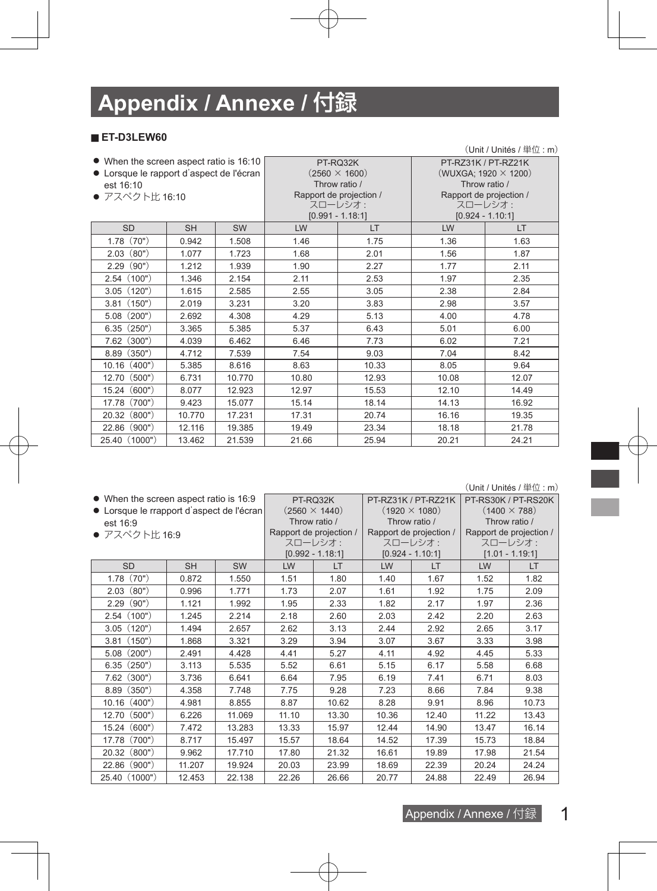# **Appendix / Annexe /** 付録

#### ■ **ET-D3LEW60**

|                                                                                     | $(Unit / Unit$ és / 単位: m) |           |       |                                  |                                                    |                         |  |  |  |  |  |  |
|-------------------------------------------------------------------------------------|----------------------------|-----------|-------|----------------------------------|----------------------------------------------------|-------------------------|--|--|--|--|--|--|
| • When the screen aspect ratio is 16:10<br>• Lorsque le rapport d'aspect de l'écran |                            |           |       | PT-RQ32K<br>$(2560 \times 1600)$ | PT-RZ31K / PT-RZ21K<br>(WUXGA; 1920 $\times$ 1200) |                         |  |  |  |  |  |  |
| est 16:10                                                                           |                            |           |       | Throw ratio /                    |                                                    | Throw ratio /           |  |  |  |  |  |  |
| ● アスペクト比 16:10                                                                      |                            |           |       | Rapport de projection /          |                                                    | Rapport de projection / |  |  |  |  |  |  |
|                                                                                     |                            |           |       | スローレシオ:                          |                                                    | スローレシオ:                 |  |  |  |  |  |  |
|                                                                                     |                            |           |       | $[0.991 - 1.18:1]$               |                                                    | $[0.924 - 1.10:1]$      |  |  |  |  |  |  |
| <b>SD</b>                                                                           | <b>SH</b>                  | <b>SW</b> | LW    | LT.                              | LW                                                 | LT.                     |  |  |  |  |  |  |
| 1.78(70")                                                                           | 0.942                      | 1.508     | 1.46  | 1.75                             | 1.36                                               | 1.63                    |  |  |  |  |  |  |
| (80")<br>2.03                                                                       | 1.077                      | 1.723     | 1.68  | 2.01                             | 1.56                                               | 1.87                    |  |  |  |  |  |  |
| (90")<br>2.29                                                                       | 1.212                      | 1.939     | 1.90  | 2.27                             | 1.77                                               | 2.11                    |  |  |  |  |  |  |
| 2.54(100")                                                                          | 1.346                      | 2.154     | 2.11  | 2.53                             | 1.97                                               | 2.35                    |  |  |  |  |  |  |
| 3.05(120")                                                                          | 1.615                      | 2.585     | 2.55  | 3.05                             | 2.38                                               | 2.84                    |  |  |  |  |  |  |
| (150")<br>3.81                                                                      | 2.019                      | 3.231     | 3.20  | 3.83                             | 2.98                                               | 3.57                    |  |  |  |  |  |  |
| (200")<br>5.08                                                                      | 2.692                      | 4.308     | 4.29  | 5.13                             | 4.00                                               | 4.78                    |  |  |  |  |  |  |
| 6.35(250")                                                                          | 3.365                      | 5.385     | 5.37  | 6.43                             | 5.01                                               | 6.00                    |  |  |  |  |  |  |
| (300")<br>7.62                                                                      | 4.039                      | 6.462     | 6.46  | 7.73                             | 6.02                                               | 7.21                    |  |  |  |  |  |  |
| (350")<br>8.89                                                                      | 4.712                      | 7.539     | 7.54  | 9.03                             | 7.04                                               | 8.42                    |  |  |  |  |  |  |
| 10.16(400")                                                                         | 5.385                      | 8.616     | 8.63  | 10.33                            | 8.05                                               | 9.64                    |  |  |  |  |  |  |
| (500")<br>12.70                                                                     | 6.731                      | 10.770    | 10.80 | 12.93                            | 10.08                                              | 12.07                   |  |  |  |  |  |  |
| 15.24(600")                                                                         | 8.077                      | 12.923    | 12.97 | 15.53                            | 12.10                                              | 14.49                   |  |  |  |  |  |  |
| 17.78 (700")                                                                        | 9.423                      | 15.077    | 15.14 | 18.14                            | 14.13                                              | 16.92                   |  |  |  |  |  |  |
| 20.32 (800")                                                                        | 10.770                     | 17.231    | 17.31 | 20.74                            | 16.16                                              | 19.35                   |  |  |  |  |  |  |
| (900")<br>22.86                                                                     | 12.116                     | 19.385    | 19.49 | 23.34                            | 18.18                                              | 21.78                   |  |  |  |  |  |  |
| 25.40 (1000")                                                                       | 13.462                     | 21.539    | 21.66 | 25.94                            | 20.21                                              | 24.21                   |  |  |  |  |  |  |

(Unit / Unités / 単位 : m)

ī

| • When the screen aspect ratio is 16:9    |           |           | PT-RQ32K      | PT-RZ31K / PT-RZ21K     |                         | PT-RS30K / PT-RS20K |                         |                   |
|-------------------------------------------|-----------|-----------|---------------|-------------------------|-------------------------|---------------------|-------------------------|-------------------|
| • Lorsque le rrapport d'aspect de l'écran |           |           |               | $(2560 \times 1440)$    | $(1920 \times 1080)$    |                     | $(1400 \times 788)$     |                   |
| est 16:9                                  |           |           | Throw ratio / |                         | Throw ratio /           |                     | Throw ratio /           |                   |
| ● アスペクト比 16:9                             |           |           |               | Rapport de projection / | Rapport de projection / |                     | Rapport de projection / |                   |
|                                           |           |           |               | スローレシオ:                 |                         | スローレシオ:             | スローレシオ:                 |                   |
|                                           |           |           |               | $[0.992 - 1.18:1]$      |                         | $[0.924 - 1.10:1]$  |                         | $[1.01 - 1.19:1]$ |
| <b>SD</b>                                 | <b>SH</b> | <b>SW</b> | LW            | LT                      | LW                      | LT.                 | LW                      | LT.               |
| 1.78(70")                                 | 0.872     | 1.550     | 1.51          | 1.80                    | 1.40                    | 1.67                | 1.52                    | 1.82              |
| (80")<br>2.03                             | 0.996     | 1.771     | 1.73          | 2.07                    | 1.61                    | 1.92                | 1.75                    | 2.09              |
| (90")<br>2.29                             | 1.121     | 1.992     | 1.95          | 2.33                    | 1.82                    | 2.17                | 1.97                    | 2.36              |
| 2.54(100")                                | 1.245     | 2.214     | 2.18          | 2.60                    | 2.03                    | 2.42                | 2.20                    | 2.63              |
| (120")<br>3.05                            | 1.494     | 2.657     | 2.62          | 3.13                    | 2.44                    | 2.92                | 2.65                    | 3.17              |
| (150")<br>3.81                            | 1.868     | 3.321     | 3.29          | 3.94                    | 3.07                    | 3.67                | 3.33                    | 3.98              |
| (200")<br>5.08                            | 2.491     | 4.428     | 4.41          | 5.27                    | 4.11                    | 4.92                | 4.45                    | 5.33              |
| 6.35(250")                                | 3.113     | 5.535     | 5.52          | 6.61                    | 5.15                    | 6.17                | 5.58                    | 6.68              |
| (300")<br>7.62                            | 3.736     | 6.641     | 6.64          | 7.95                    | 6.19                    | 7.41                | 6.71                    | 8.03              |
| (350")<br>8.89                            | 4.358     | 7.748     | 7.75          | 9.28                    | 7.23                    | 8.66                | 7.84                    | 9.38              |
| 10.16(400")                               | 4.981     | 8.855     | 8.87          | 10.62                   | 8.28                    | 9.91                | 8.96                    | 10.73             |
| (500")<br>12.70                           | 6.226     | 11.069    | 11.10         | 13.30                   | 10.36                   | 12.40               | 11.22                   | 13.43             |
| (600")<br>15.24                           | 7.472     | 13.283    | 13.33         | 15.97                   | 12.44                   | 14.90               | 13.47                   | 16.14             |
| (700")<br>17.78                           | 8.717     | 15.497    | 15.57         | 18.64                   | 14.52                   | 17.39               | 15.73                   | 18.84             |
| (800")<br>20.32                           | 9.962     | 17.710    | 17.80         | 21.32                   | 16.61                   | 19.89               | 17.98                   | 21.54             |
| (900")<br>22.86                           | 11.207    | 19.924    | 20.03         | 23.99                   | 18.69                   | 22.39               | 20.24                   | 24.24             |
| 25.40 (1000")                             | 12.453    | 22.138    | 22.26         | 26.66                   | 20.77                   | 24.88               | 22.49                   | 26.94             |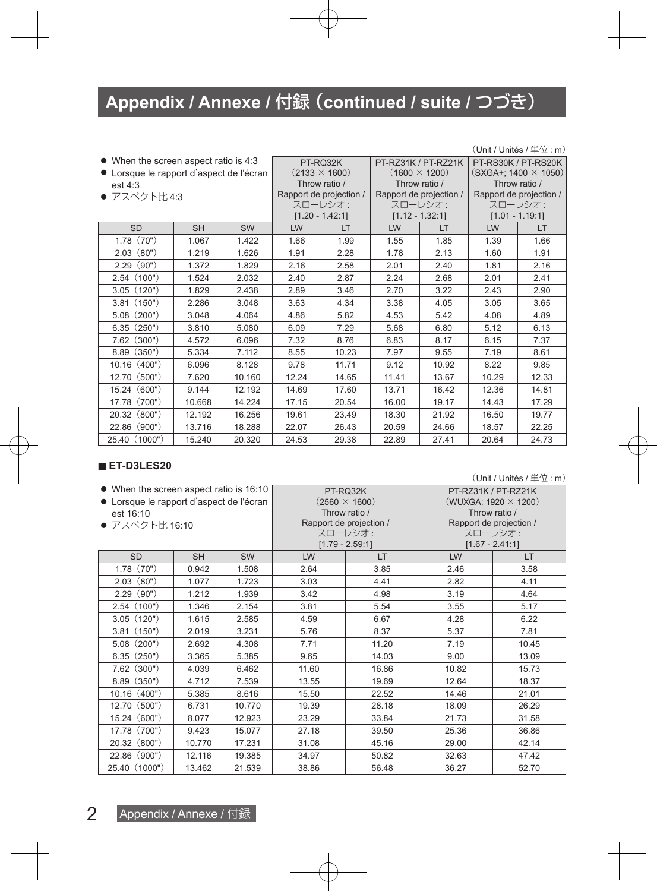|                                          |           |                   |                      |                         |                      |                         |                             | $(Unit / Unit$ és / $\&$ $\&$ : m) |
|------------------------------------------|-----------|-------------------|----------------------|-------------------------|----------------------|-------------------------|-----------------------------|------------------------------------|
| • When the screen aspect ratio is 4:3    |           |                   |                      | PT-RQ32K                | PT-RZ31K / PT-RZ21K  |                         | PT-RS30K / PT-RS20K         |                                    |
| • Lorsque le rapport d'aspect de l'écran |           |                   | $(2133 \times 1600)$ |                         | $(1600 \times 1200)$ |                         | $(SXGA+; 1400 \times 1050)$ |                                    |
| est $4:3$                                |           |                   |                      | Throw ratio /           |                      | Throw ratio /           | Throw ratio /               |                                    |
| ● アスペクト比4:3                              |           |                   |                      | Rapport de projection / |                      | Rapport de projection / | Rapport de projection /     |                                    |
|                                          |           |                   |                      | スローレシオ:                 |                      | スローレシオ:                 |                             | スローレシオ:                            |
|                                          |           | $[1.20 - 1.42:1]$ |                      |                         | $[1.12 - 1.32:1]$    |                         | $[1.01 - 1.19:1]$           |                                    |
| <b>SD</b>                                | <b>SH</b> | <b>SW</b>         | LW                   | LT                      | LW                   | LT.                     | LW                          | LT.                                |
| (70")<br>1.78                            | 1.067     | 1.422             | 1.66                 | 1.99                    | 1.55                 | 1.85                    | 1.39                        | 1.66                               |
| (80")<br>2.03                            | 1.219     | 1.626             | 1.91                 | 2.28                    | 1.78                 | 2.13                    | 1.60                        | 1.91                               |
| (90")<br>2.29                            | 1.372     | 1.829             | 2.16                 | 2.58                    | 2.01                 | 2.40                    | 1.81                        | 2.16                               |
| (100")<br>2.54                           | 1.524     | 2.032             | 2.40                 | 2.87                    | 2.24                 | 2.68                    | 2.01                        | 2.41                               |
| (120")<br>3.05                           | 1.829     | 2.438             | 2.89                 | 3.46                    | 2.70                 | 3.22                    | 2.43                        | 2.90                               |
| (150")<br>3.81                           | 2.286     | 3.048             | 3.63                 | 4.34                    | 3.38                 | 4.05                    | 3.05                        | 3.65                               |
| (200")<br>5.08                           | 3.048     | 4.064             | 4.86                 | 5.82                    | 4.53                 | 5.42                    | 4.08                        | 4.89                               |
| (250")<br>6.35                           | 3.810     | 5.080             | 6.09                 | 7.29                    | 5.68                 | 6.80                    | 5.12                        | 6.13                               |
| (300")<br>7.62                           | 4.572     | 6.096             | 7.32                 | 8.76                    | 6.83                 | 8.17                    | 6.15                        | 7.37                               |
| (350")<br>8.89                           | 5.334     | 7.112             | 8.55                 | 10.23                   | 7.97                 | 9.55                    | 7.19                        | 8.61                               |
| $10.16$ $(400")$                         | 6.096     | 8.128             | 9.78                 | 11.71                   | 9.12                 | 10.92                   | 8.22                        | 9.85                               |
| 12.70 (500")                             | 7.620     | 10.160            | 12.24                | 14.65                   | 11.41                | 13.67                   | 10.29                       | 12.33                              |
| 15.24(600")                              | 9.144     | 12.192            | 14.69                | 17.60                   | 13.71                | 16.42                   | 12.36                       | 14.81                              |
| 17.78<br>(700")                          | 10.668    | 14.224            | 17.15                | 20.54                   | 16.00                | 19.17                   | 14.43                       | 17.29                              |
| (800")<br>20.32                          | 12.192    | 16.256            | 19.61                | 23.49                   | 18.30                | 21.92                   | 16.50                       | 19.77                              |
| (900")<br>22.86                          | 13.716    | 18.288            | 22.07                | 26.43                   | 20.59                | 24.66                   | 18.57                       | 22.25                              |
| 25.40 (1000")                            | 15.240    | 20.320            | 24.53                | 29.38                   | 22.89                | 27.41                   | 20.64                       | 24.73                              |

#### ■ **ET-D3LES20**

| • When the screen aspect ratio is 16:10  |           |           |       | PT-RQ32K                | PT-RZ31K / PT-RZ21K         |                         |  |
|------------------------------------------|-----------|-----------|-------|-------------------------|-----------------------------|-------------------------|--|
| • Lorsque le rapport d'aspect de l'écran |           |           |       | $(2560 \times 1600)$    | (WUXGA; 1920 $\times$ 1200) |                         |  |
| est 16:10                                |           |           |       | Throw ratio /           | Throw ratio /               |                         |  |
| ● アスペクト比 16:10                           |           |           |       | Rapport de projection / |                             | Rapport de projection / |  |
|                                          |           |           |       | スローレシオ:                 |                             | スローレシオ:                 |  |
|                                          |           |           |       | $[1.79 - 2.59:1]$       |                             | $[1.67 - 2.41:1]$       |  |
| <b>SD</b>                                | <b>SH</b> | <b>SW</b> | LW    | <b>LT</b>               | LW                          | <b>LT</b>               |  |
| 1.78(70")                                | 0.942     | 1.508     | 2.64  | 3.85                    | 2.46                        | 3.58                    |  |
| (80")<br>2.03                            | 1.077     | 1.723     | 3.03  | 4.41                    | 2.82                        | 4.11                    |  |
| 2.29(90")                                | 1.212     | 1.939     | 3.42  | 4.98                    | 3.19                        | 4.64                    |  |
| 2.54(100")                               | 1.346     | 2.154     | 3.81  | 5.54                    | 3.55                        | 5.17                    |  |
| 3.05(120")                               | 1.615     | 2.585     | 4.59  | 6.67                    | 4.28                        | 6.22                    |  |
| 3.81(150")                               | 2.019     | 3.231     | 5.76  | 8.37                    | 5.37                        | 7.81                    |  |
| $5.08$ $(200")$                          | 2.692     | 4.308     | 7.71  | 11.20                   | 7.19                        | 10.45                   |  |
| 6.35(250")                               | 3.365     | 5.385     | 9.65  | 14.03                   | 9.00                        | 13.09                   |  |
| $7.62$ $(300")$                          | 4.039     | 6.462     | 11.60 | 16.86                   | 10.82                       | 15.73                   |  |
| $8.89$ $(350")$                          | 4.712     | 7.539     | 13.55 | 19.69                   | 12.64                       | 18.37                   |  |
| 10.16(400")                              | 5.385     | 8.616     | 15.50 | 22.52                   | 14.46                       | 21.01                   |  |
| (500")<br>12.70                          | 6.731     | 10.770    | 19.39 | 28.18                   | 18.09                       | 26.29                   |  |
| 15.24 (600")                             | 8.077     | 12.923    | 23.29 | 33.84                   | 21.73                       | 31.58                   |  |
| 17.78 (700")                             | 9.423     | 15.077    | 27.18 | 39.50                   | 25.36                       | 36.86                   |  |
| 20.32 (800")                             | 10.770    | 17.231    | 31.08 | 45.16                   | 29.00                       | 42.14                   |  |
| 22.86 (900")                             | 12.116    | 19.385    | 34.97 | 50.82                   | 32.63                       | 47.42                   |  |
| 25.40 (1000")                            | 13.462    | 21.539    | 38.86 | 56.48                   | 36.27                       | 52.70                   |  |

(Unit / Unités / 単位 : m)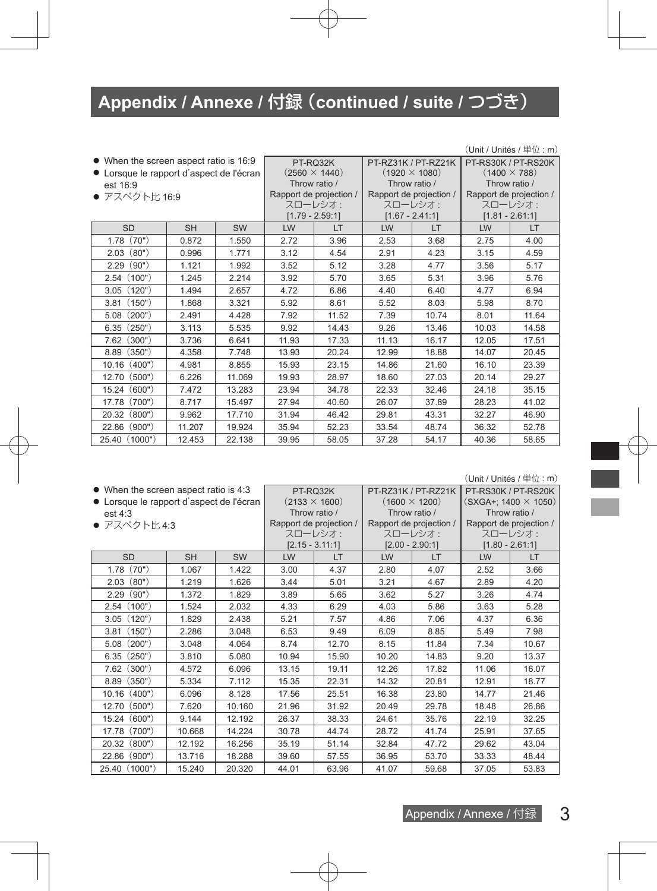| • When the screen aspect ratio is 16:9   |           |           |                      | PT-RQ32K                | PT-RZ31K / PT-RZ21K  |                         | PT-RS30K / PT-RS20K     |         |
|------------------------------------------|-----------|-----------|----------------------|-------------------------|----------------------|-------------------------|-------------------------|---------|
| • Lorsque le rapport d'aspect de l'écran |           |           | $(2560 \times 1440)$ |                         | $(1920 \times 1080)$ |                         | $(1400 \times 788)$     |         |
| est 16:9                                 |           |           | Throw ratio /        |                         | Throw ratio /        |                         | Throw ratio /           |         |
| ● アスペクト比 16:9                            |           |           |                      | Rapport de projection / |                      | Rapport de projection / | Rapport de projection / |         |
|                                          |           |           |                      | スローレシオ:                 |                      | スローレシオ:                 |                         | スローレシオ: |
|                                          |           |           |                      | $[1.79 - 2.59:1]$       |                      | $[1.67 - 2.41:1]$       | $[1.81 - 2.61:1]$       |         |
| <b>SD</b>                                | <b>SH</b> | <b>SW</b> | LW                   | LT.                     | LW                   | LT.                     | LW                      | LT      |
| (70")<br>1.78                            | 0.872     | 1.550     | 2.72                 | 3.96                    | 2.53                 | 3.68                    | 2.75                    | 4.00    |
| (80")<br>2.03                            | 0.996     | 1.771     | 3.12                 | 4.54                    | 2.91                 | 4.23                    | 3.15                    | 4.59    |
| (90")<br>2.29                            | 1.121     | 1.992     | 3.52                 | 5.12                    | 3.28                 | 4.77                    | 3.56                    | 5.17    |
| 2.54(100")                               | 1.245     | 2.214     | 3.92                 | 5.70                    | 3.65                 | 5.31                    | 3.96                    | 5.76    |
| 3.05(120")                               | 1.494     | 2.657     | 4.72                 | 6.86                    | 4.40                 | 6.40                    | 4.77                    | 6.94    |
| (150")<br>3.81                           | 1.868     | 3.321     | 5.92                 | 8.61                    | 5.52                 | 8.03                    | 5.98                    | 8.70    |
| (200")<br>5.08                           | 2.491     | 4.428     | 7.92                 | 11.52                   | 7.39                 | 10.74                   | 8.01                    | 11.64   |
| (250")<br>6.35                           | 3.113     | 5.535     | 9.92                 | 14.43                   | 9.26                 | 13.46                   | 10.03                   | 14.58   |
| (300")<br>7.62                           | 3.736     | 6.641     | 11.93                | 17.33                   | 11.13                | 16.17                   | 12.05                   | 17.51   |
| 8.89 (350")                              | 4.358     | 7.748     | 13.93                | 20.24                   | 12.99                | 18.88                   | 14.07                   | 20.45   |
| (400")<br>10.16                          | 4.981     | 8.855     | 15.93                | 23.15                   | 14.86                | 21.60                   | 16.10                   | 23.39   |
| (500")<br>12.70                          | 6.226     | 11.069    | 19.93                | 28.97                   | 18.60                | 27.03                   | 20.14                   | 29.27   |
| 15.24<br>(600")                          | 7.472     | 13.283    | 23.94                | 34.78                   | 22.33                | 32.46                   | 24.18                   | 35.15   |
| (700")<br>17.78                          | 8.717     | 15.497    | 27.94                | 40.60                   | 26.07                | 37.89                   | 28.23                   | 41.02   |
| (800")<br>20.32                          | 9.962     | 17.710    | 31.94                | 46.42                   | 29.81                | 43.31                   | 32.27                   | 46.90   |
| (900")<br>22.86                          | 11.207    | 19.924    | 35.94                | 52.23                   | 33.54                | 48.74                   | 36.32                   | 52.78   |
| 25.40 (1000")                            | 12.453    | 22.138    | 39.95                | 58.05                   | 37.28                | 54.17                   | 40.36                   | 58.65   |

#### (Unit / Unités / 単位 : m)

(Unit / Unités / 単位 : m)

| • When the screen aspect ratio is 4:3    |              |        |               | PT-RQ32K                | PT-RZ31K / PT-RZ21K     |                   | PT-RS30K / PT-RS20K         |       |
|------------------------------------------|--------------|--------|---------------|-------------------------|-------------------------|-------------------|-----------------------------|-------|
| • Lorsque le rapport d'aspect de l'écran |              |        |               | $(2133 \times 1600)$    | $(1600 \times 1200)$    |                   | $(SXGA+; 1400 \times 1050)$ |       |
| est 4:3                                  |              |        | Throw ratio / |                         | Throw ratio /           |                   | Throw ratio /               |       |
|                                          | ● アスペクト比 4:3 |        |               | Rapport de projection / | Rapport de projection / |                   | Rapport de projection /     |       |
|                                          |              |        | スローレシオ:       |                         | スローレシオ:                 | スローレシオ:           |                             |       |
|                                          |              |        |               | $[2.15 - 3.11:1]$       |                         | $[2.00 - 2.90:1]$ | $[1.80 - 2.61:1]$           |       |
| <b>SD</b>                                | <b>SH</b>    | SW     | LW            | LT                      | LW                      | <b>LT</b>         | LW                          | LT    |
| (70")<br>1.78                            | 1.067        | 1.422  | 3.00          | 4.37                    | 2.80                    | 4.07              | 2.52                        | 3.66  |
| (80")<br>2.03                            | 1.219        | 1.626  | 3.44          | 5.01                    | 3.21                    | 4.67              | 2.89                        | 4.20  |
| (90")<br>2.29                            | 1.372        | 1.829  | 3.89          | 5.65                    | 3.62                    | 5.27              | 3.26                        | 4.74  |
| (100")<br>2.54                           | 1.524        | 2.032  | 4.33          | 6.29                    | 4.03                    | 5.86              | 3.63                        | 5.28  |
| (120")<br>3.05                           | 1.829        | 2.438  | 5.21          | 7.57                    | 4.86                    | 7.06              | 4.37                        | 6.36  |
| (150")<br>3.81                           | 2.286        | 3.048  | 6.53          | 9.49                    | 6.09                    | 8.85              | 5.49                        | 7.98  |
| $5.08$ $(200")$                          | 3.048        | 4.064  | 8.74          | 12.70                   | 8.15                    | 11.84             | 7.34                        | 10.67 |
| 6.35(250")                               | 3.810        | 5.080  | 10.94         | 15.90                   | 10.20                   | 14.83             | 9.20                        | 13.37 |
| (300")<br>7.62                           | 4.572        | 6.096  | 13.15         | 19.11                   | 12.26                   | 17.82             | 11.06                       | 16.07 |
| 8.89 (350")                              | 5.334        | 7.112  | 15.35         | 22.31                   | 14.32                   | 20.81             | 12.91                       | 18.77 |
| (400")<br>10.16                          | 6.096        | 8.128  | 17.56         | 25.51                   | 16.38                   | 23.80             | 14.77                       | 21.46 |
| (500")<br>12.70                          | 7.620        | 10.160 | 21.96         | 31.92                   | 20.49                   | 29.78             | 18.48                       | 26.86 |
| (600")<br>15.24                          | 9.144        | 12.192 | 26.37         | 38.33                   | 24.61                   | 35.76             | 22.19                       | 32.25 |
| (700")<br>17.78                          | 10.668       | 14.224 | 30.78         | 44.74                   | 28.72                   | 41.74             | 25.91                       | 37.65 |
| (800")<br>20.32                          | 12.192       | 16.256 | 35.19         | 51.14                   | 32.84                   | 47.72             | 29.62                       | 43.04 |
| (900")<br>22.86                          | 13.716       | 18.288 | 39.60         | 57.55                   | 36.95                   | 53.70             | 33.33                       | 48.44 |
| 25.40 (1000")                            | 15.240       | 20.320 | 44.01         | 63.96                   | 41.07                   | 59.68             | 37.05                       | 53.83 |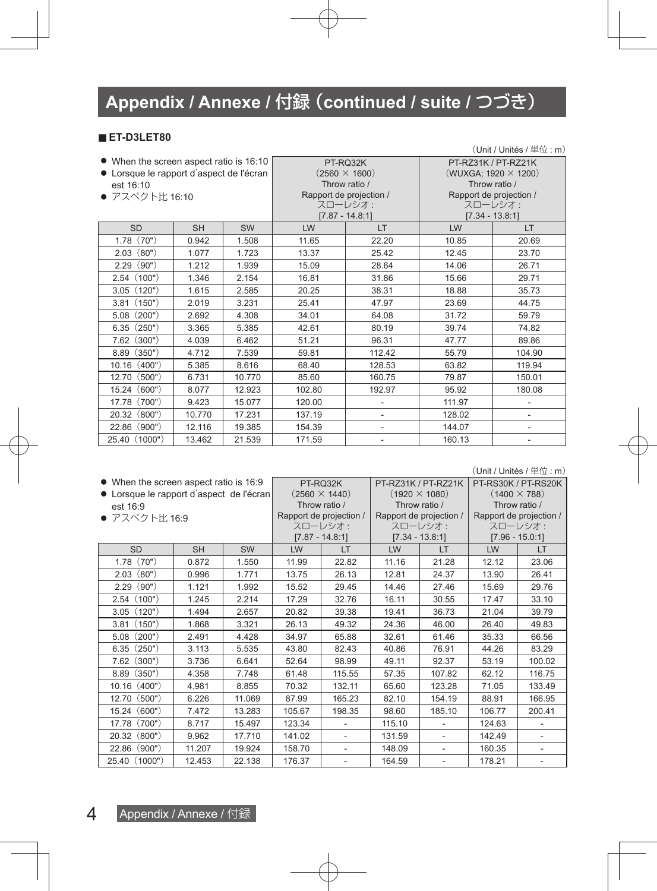#### ■ **ET-D3LET80**

|                                          |           |        |        |                          |                             | $(Unit / Unit$ és / 単位: m)   |  |
|------------------------------------------|-----------|--------|--------|--------------------------|-----------------------------|------------------------------|--|
| • When the screen aspect ratio is 16:10  |           |        |        | PT-RQ32K                 | PT-RZ31K / PT-RZ21K         |                              |  |
| • Lorsque le rapport d'aspect de l'écran |           |        |        | $(2560 \times 1600)$     | (WUXGA; 1920 $\times$ 1200) |                              |  |
| est 16:10                                |           |        |        | Throw ratio /            |                             | Throw ratio /                |  |
| ● アスペクト比 16:10                           |           |        |        | Rapport de projection /  |                             | Rapport de projection /      |  |
|                                          |           |        |        | スローレシオ:                  |                             | スローレシオ:                      |  |
|                                          |           |        |        | $[7.87 - 14.8:1]$        |                             | $[7.34 - 13.8:1]$            |  |
| <b>SD</b>                                | <b>SH</b> | SW     | LW     | LT.                      | LW                          | LT.                          |  |
| 1.78(70")                                | 0.942     | 1.508  | 11.65  | 22.20                    | 10.85                       | 20.69                        |  |
| 2.03(80")                                | 1.077     | 1.723  | 13.37  | 25.42                    | 12.45                       | 23.70                        |  |
| (90")<br>2.29                            | 1.212     | 1.939  | 15.09  | 28.64                    | 14.06                       | 26.71                        |  |
| 2.54(100")                               | 1.346     | 2.154  | 16.81  | 31.86                    | 15.66                       | 29.71                        |  |
| (120")<br>3.05                           | 1.615     | 2.585  | 20.25  | 38.31                    | 18.88                       | 35.73                        |  |
| (150")<br>3.81                           | 2.019     | 3.231  | 25.41  | 47.97                    | 23.69                       | 44.75                        |  |
| (200")<br>5.08                           | 2.692     | 4.308  | 34.01  | 64.08                    | 31.72                       | 59.79                        |  |
| (250")<br>6.35                           | 3.365     | 5.385  | 42.61  | 80.19                    | 39.74                       | 74.82                        |  |
| (300")<br>7.62                           | 4.039     | 6.462  | 51.21  | 96.31                    | 47.77                       | 89.86                        |  |
| (350")<br>8.89                           | 4.712     | 7.539  | 59.81  | 112.42                   | 55.79                       | 104.90                       |  |
| 10.16 (400")                             | 5.385     | 8.616  | 68.40  | 128.53                   | 63.82                       | 119.94                       |  |
| (500")<br>12.70                          | 6.731     | 10.770 | 85.60  | 160.75                   | 79.87                       | 150.01                       |  |
| 15.24 (600")                             | 8.077     | 12.923 | 102.80 | 192.97                   | 95.92                       | 180.08                       |  |
| (700")<br>17.78                          | 9.423     | 15.077 | 120.00 | $\overline{\phantom{a}}$ | 111.97                      | $\qquad \qquad \blacksquare$ |  |
| (800")<br>20.32                          | 10.770    | 17.231 | 137.19 | $\overline{\phantom{a}}$ | 128.02                      | $\overline{\phantom{a}}$     |  |
| (900")<br>22.86                          | 12.116    | 19.385 | 154.39 | $\overline{\phantom{a}}$ | 144.07                      | ٠                            |  |
| 25.40 (1000")                            | 13.462    | 21.539 | 171.59 | $\overline{\phantom{a}}$ | 160.13                      | $\qquad \qquad \blacksquare$ |  |

(Unit / Unités / 単位 : m)

| • When the screen aspect ratio is 16:9   |           |        |                      | PT-RQ32K                | PT-RZ31K / PT-RZ21K     |                          | PT-RS30K / PT-RS20K |                         |  |
|------------------------------------------|-----------|--------|----------------------|-------------------------|-------------------------|--------------------------|---------------------|-------------------------|--|
| • Lorsque le rapport d'aspect de l'écran |           |        | $(2560 \times 1440)$ |                         | $(1920 \times 1080)$    |                          | $(1400 \times 788)$ |                         |  |
| est 16:9                                 |           |        |                      | Throw ratio /           |                         | Throw ratio /            |                     | Throw ratio /           |  |
| ● アスペクト比 16:9                            |           |        |                      | Rapport de projection / | Rapport de projection / |                          |                     | Rapport de projection / |  |
|                                          |           |        |                      | スローレシオ:                 |                         | スローレシオ:                  |                     | スローレシオ:                 |  |
|                                          |           |        |                      | $[7.87 - 14.8:1]$       |                         | $[7.34 - 13.8:1]$        |                     | $[7.96 - 15.0:1]$       |  |
| <b>SD</b>                                | <b>SH</b> | SW     | LW                   | LT                      | LW                      | <b>LT</b>                | LW                  | LT.                     |  |
| (70")<br>1.78                            | 0.872     | 1.550  | 11.99                | 22.82                   | 11.16                   | 21.28                    | 12.12               | 23.06                   |  |
| (80")<br>2.03                            | 0.996     | 1.771  | 13.75                | 26.13                   | 12.81                   | 24.37                    | 13.90               | 26.41                   |  |
| (90")<br>2.29                            | 1.121     | 1.992  | 15.52                | 29.45                   | 14.46                   | 27.46                    | 15.69               | 29.76                   |  |
| 2.54(100")                               | 1.245     | 2.214  | 17.29                | 32.76                   | 16.11                   | 30.55                    | 17.47               | 33.10                   |  |
| 3.05(120")                               | 1.494     | 2.657  | 20.82                | 39.38                   | 19.41                   | 36.73                    | 21.04               | 39.79                   |  |
| 3.81(150")                               | 1.868     | 3.321  | 26.13                | 49.32                   | 24.36                   | 46.00                    | 26.40               | 49.83                   |  |
| $5.08$ $(200")$                          | 2.491     | 4.428  | 34.97                | 65.88                   | 32.61                   | 61.46                    | 35.33               | 66.56                   |  |
| 6.35(250")                               | 3.113     | 5.535  | 43.80                | 82.43                   | 40.86                   | 76.91                    | 44.26               | 83.29                   |  |
| $7.62$ $(300")$                          | 3.736     | 6.641  | 52.64                | 98.99                   | 49.11                   | 92.37                    | 53.19               | 100.02                  |  |
| (350")<br>8.89                           | 4.358     | 7.748  | 61.48                | 115.55                  | 57.35                   | 107.82                   | 62.12               | 116.75                  |  |
| (400")<br>10.16                          | 4.981     | 8.855  | 70.32                | 132.11                  | 65.60                   | 123.28                   | 71.05               | 133.49                  |  |
| (500")<br>12.70                          | 6.226     | 11.069 | 87.99                | 165.23                  | 82.10                   | 154.19                   | 88.91               | 166.95                  |  |
| (600")<br>15.24                          | 7.472     | 13.283 | 105.67               | 198.35                  | 98.60                   | 185.10                   | 106.77              | 200.41                  |  |
| (700")<br>17.78                          | 8.717     | 15.497 | 123.34               | ٠                       | 115.10                  | $\overline{\phantom{a}}$ | 124.63              |                         |  |
| (800")<br>20.32                          | 9.962     | 17.710 | 141.02               | ÷,                      | 131.59                  |                          | 142.49              |                         |  |
| (900")<br>22.86                          | 11.207    | 19.924 | 158.70               |                         | 148.09                  |                          | 160.35              |                         |  |
| 25.40 (1000")                            | 12.453    | 22.138 | 176.37               |                         | 164.59                  |                          | 178.21              |                         |  |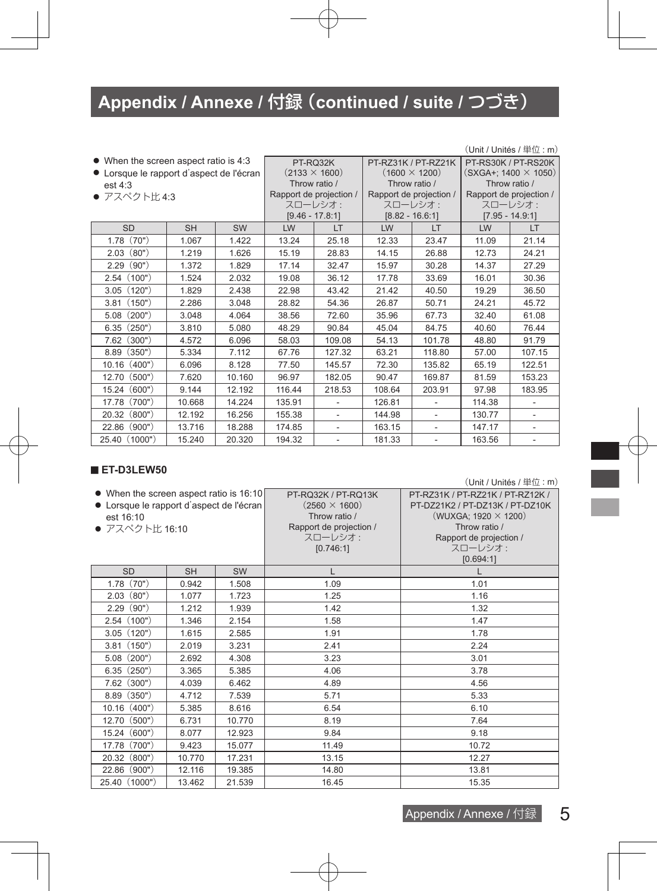| • When the screen aspect ratio is 4:3    |           |           |                      | PT-RQ32K                 |                      | PT-RZ31K / PT-RZ21K      | PT-RS30K / PT-RS20K         |                         |
|------------------------------------------|-----------|-----------|----------------------|--------------------------|----------------------|--------------------------|-----------------------------|-------------------------|
| • Lorsque le rapport d'aspect de l'écran |           |           | $(2133 \times 1600)$ |                          | $(1600 \times 1200)$ |                          | $(SXGA+; 1400 \times 1050)$ |                         |
| est 4:3                                  |           |           |                      | Throw ratio /            | Throw ratio /        |                          | Throw ratio /               |                         |
| ● アスペクト比4:3                              |           |           |                      | Rapport de projection /  |                      | Rapport de projection /  |                             | Rapport de projection / |
|                                          |           |           |                      | スローレシオ:                  |                      | スローレシオ:                  | スローレシオ:                     |                         |
|                                          |           |           |                      | $[9.46 - 17.8:1]$        |                      | $[8.82 - 16.6:1]$        | $[7.95 - 14.9:1]$           |                         |
| <b>SD</b>                                | <b>SH</b> | <b>SW</b> | LW                   | LT                       | LW                   | LT.                      | LW                          | LT.                     |
| (70")<br>1.78                            | 1.067     | 1.422     | 13.24                | 25.18                    | 12.33                | 23.47                    | 11.09                       | 21.14                   |
| (80")<br>2.03                            | 1.219     | 1.626     | 15.19                | 28.83                    | 14.15                | 26.88                    | 12.73                       | 24.21                   |
| (90")<br>2.29                            | 1.372     | 1.829     | 17.14                | 32.47                    | 15.97                | 30.28                    | 14.37                       | 27.29                   |
| 2.54(100")                               | 1.524     | 2.032     | 19.08                | 36.12                    | 17.78                | 33.69                    | 16.01                       | 30.36                   |
| 3.05(120")                               | 1.829     | 2.438     | 22.98                | 43.42                    | 21.42                | 40.50                    | 19.29                       | 36.50                   |
| (150")<br>3.81                           | 2.286     | 3.048     | 28.82                | 54.36                    | 26.87                | 50.71                    | 24.21                       | 45.72                   |
| (200")<br>5.08                           | 3.048     | 4.064     | 38.56                | 72.60                    | 35.96                | 67.73                    | 32.40                       | 61.08                   |
| (250")<br>6.35                           | 3.810     | 5.080     | 48.29                | 90.84                    | 45.04                | 84.75                    | 40.60                       | 76.44                   |
| (300")<br>7.62                           | 4.572     | 6.096     | 58.03                | 109.08                   | 54.13                | 101.78                   | 48.80                       | 91.79                   |
| 8.89 (350")                              | 5.334     | 7.112     | 67.76                | 127.32                   | 63.21                | 118.80                   | 57.00                       | 107.15                  |
| (400")<br>10.16                          | 6.096     | 8.128     | 77.50                | 145.57                   | 72.30                | 135.82                   | 65.19                       | 122.51                  |
| 12.70 (500")                             | 7.620     | 10.160    | 96.97                | 182.05                   | 90.47                | 169.87                   | 81.59                       | 153.23                  |
| (600")<br>15.24                          | 9.144     | 12.192    | 116.44               | 218.53                   | 108.64               | 203.91                   | 97.98                       | 183.95                  |
| 17.78<br>(700")                          | 10.668    | 14.224    | 135.91               |                          | 126.81               |                          | 114.38                      |                         |
| 20.32 (800")                             | 12.192    | 16.256    | 155.38               |                          | 144.98               | ٠                        | 130.77                      |                         |
| 22.86 (900")                             | 13.716    | 18.288    | 174.85               | ٠                        | 163.15               | ٠                        | 147.17                      | $\blacksquare$          |
| 25.40 (1000")                            | 15.240    | 20.320    | 194.32               | $\overline{\phantom{a}}$ | 181.33               | $\overline{\phantom{a}}$ | 163.56                      |                         |

#### ■ **ET-D3LEW50**

(Unit / Unités / 単位 : m)

ı

| • When the screen aspect ratio is 16:10<br>• Lorsque le rapport d'aspect de l'écran<br>est 16:10<br>● アスペクト比 16:10 |           |           | PT-RO32K / PT-RO13K<br>$(2560 \times 1600)$<br>Throw ratio /<br>Rapport de projection /<br>スローレシオ:<br>[0.746:1] | PT-RZ31K / PT-RZ21K / PT-RZ12K /<br>PT-DZ21K2 / PT-DZ13K / PT-DZ10K<br>(WUXGA; 1920 $\times$ 1200)<br>Throw ratio /<br>Rapport de projection /<br>スローレシオ:<br>[0.694:1] |
|--------------------------------------------------------------------------------------------------------------------|-----------|-----------|-----------------------------------------------------------------------------------------------------------------|------------------------------------------------------------------------------------------------------------------------------------------------------------------------|
| <b>SD</b>                                                                                                          | <b>SH</b> | <b>SW</b> | L                                                                                                               |                                                                                                                                                                        |
| 1.78(70")                                                                                                          | 0.942     | 1.508     | 1.09                                                                                                            | 1.01                                                                                                                                                                   |
| 2.03(80")                                                                                                          | 1.077     | 1.723     | 1.25                                                                                                            | 1.16                                                                                                                                                                   |
| (90")<br>2.29                                                                                                      | 1.212     | 1.939     | 1.42                                                                                                            | 1.32                                                                                                                                                                   |
| 2.54(100")                                                                                                         | 1.346     | 2.154     | 1.58                                                                                                            | 1.47                                                                                                                                                                   |
| (120")<br>3.05                                                                                                     | 1.615     | 2.585     | 1.91                                                                                                            | 1.78                                                                                                                                                                   |
| 3.81(150")                                                                                                         | 2.019     | 3.231     | 2.41                                                                                                            | 2.24                                                                                                                                                                   |
| (200")<br>5.08                                                                                                     | 2.692     | 4.308     | 3.23                                                                                                            | 3.01                                                                                                                                                                   |
| 6.35(250")                                                                                                         | 3.365     | 5.385     | 4.06                                                                                                            | 3.78                                                                                                                                                                   |
| $7.62$ $(300")$                                                                                                    | 4.039     | 6.462     | 4.89                                                                                                            | 4.56                                                                                                                                                                   |
| $8.89$ $(350")$                                                                                                    | 4.712     | 7.539     | 5.71                                                                                                            | 5.33                                                                                                                                                                   |
| 10.16 (400")                                                                                                       | 5.385     | 8.616     | 6.54                                                                                                            | 6.10                                                                                                                                                                   |
| 12.70 (500")                                                                                                       | 6.731     | 10.770    | 8.19                                                                                                            | 7.64                                                                                                                                                                   |
| 15.24 (600")                                                                                                       | 8.077     | 12.923    | 9.84                                                                                                            | 9.18                                                                                                                                                                   |
| 17.78 (700")                                                                                                       | 9.423     | 15.077    | 11.49                                                                                                           | 10.72                                                                                                                                                                  |
| 20.32 (800")                                                                                                       | 10.770    | 17.231    | 13.15                                                                                                           | 12.27                                                                                                                                                                  |
| 22.86 (900")                                                                                                       | 12.116    | 19.385    | 14.80                                                                                                           | 13.81                                                                                                                                                                  |
| 25.40 (1000")                                                                                                      | 13.462    | 21.539    | 16.45                                                                                                           | 15.35                                                                                                                                                                  |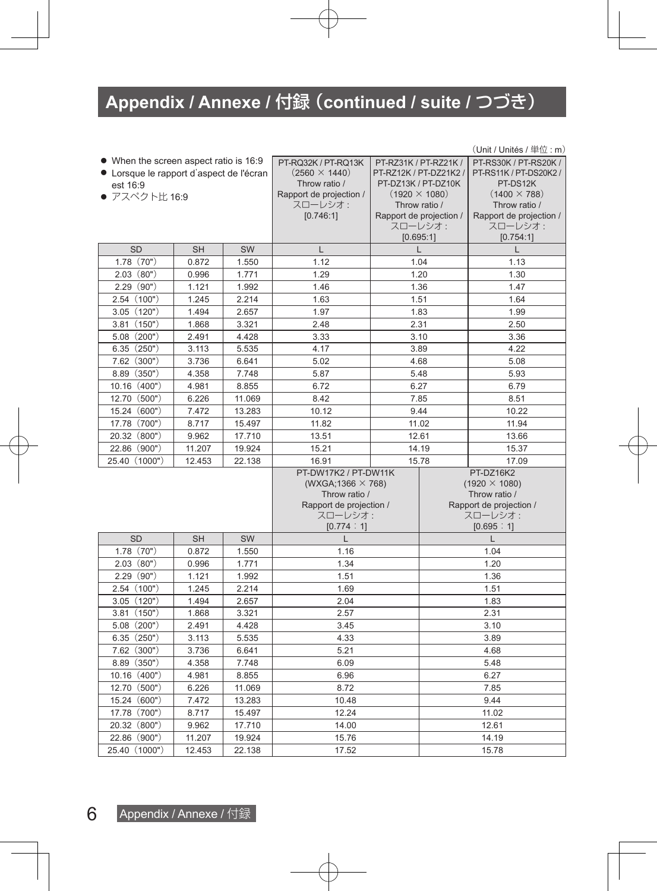|                                          | $(Unit / Unit$ és / 単位: m) |        |                                      |                       |                        |                                          |  |  |  |  |
|------------------------------------------|----------------------------|--------|--------------------------------------|-----------------------|------------------------|------------------------------------------|--|--|--|--|
| • When the screen aspect ratio is 16:9   |                            |        | PT-RQ32K / PT-RQ13K                  | PT-RZ31K / PT-RZ21K / |                        | PT-RS30K / PT-RS20K /                    |  |  |  |  |
| • Lorsque le rapport d'aspect de l'écran |                            |        | $(2560 \times 1440)$                 |                       | PT-RZ12K / PT-DZ21K2 / | PT-RS11K / PT-DS20K2 /                   |  |  |  |  |
| est 16:9                                 |                            |        | Throw ratio /                        |                       | PT-DZ13K / PT-DZ10K    | PT-DS12K                                 |  |  |  |  |
| ● アスペクト比 16:9                            |                            |        | Rapport de projection /<br>スローレシオ:   |                       | $(1920 \times 1080)$   | $(1400 \times 788)$                      |  |  |  |  |
|                                          |                            |        | [0.746:1]<br>Rapport de projection / |                       | Throw ratio /          | Throw ratio /<br>Rapport de projection / |  |  |  |  |
|                                          |                            |        |                                      |                       | スローレシオ:                | スローレシオ:                                  |  |  |  |  |
|                                          |                            |        |                                      |                       | [0.695:1]              | [0.754:1]                                |  |  |  |  |
| <b>SD</b>                                | <b>SH</b>                  | SW     | $\mathsf{L}$                         |                       | $\mathbf{I}$           | $\mathbf{L}$                             |  |  |  |  |
| 1.78(70")                                | 0.872                      | 1.550  | 1.12<br>1.04                         |                       |                        | 1.13                                     |  |  |  |  |
| 2.03(80")                                | 0.996                      | 1.771  | 1.29                                 |                       | 1.20                   | 1.30                                     |  |  |  |  |
| 2.29(90")                                | 1.121                      | 1.992  | 1.46                                 |                       | 1.36                   | 1.47                                     |  |  |  |  |
| 2.54 (100")                              | 1.245                      | 2.214  | 1.63                                 |                       | 1.51                   | 1.64                                     |  |  |  |  |
| 3.05(120")                               | 1.494                      | 2.657  | 1.97                                 |                       | 1.83                   | 1.99                                     |  |  |  |  |
| 3.81(150")                               | 1.868                      | 3.321  | 2.48                                 |                       | 2.31                   | 2.50                                     |  |  |  |  |
| $5.08$ $(200")$                          | 2.491                      | 4.428  | 3.33                                 |                       | 3.10                   | 3.36                                     |  |  |  |  |
| 6.35(250")                               | 3.113                      | 5.535  | 4.17                                 |                       | 3.89                   | 4.22                                     |  |  |  |  |
| 7.62 (300")                              | 3.736                      | 6.641  | 5.02                                 |                       | 4.68                   | 5.08                                     |  |  |  |  |
| $8.89$ $(350")$                          | 4.358                      | 7.748  | 5.87                                 |                       | 5.48                   | 5.93                                     |  |  |  |  |
| 10.16 (400")                             | 4.981                      | 8.855  | 6.72                                 |                       | 6.27                   | 6.79                                     |  |  |  |  |
| 12.70 (500")                             | 6.226                      | 11.069 | 8.42                                 | 7.85                  |                        | 8.51                                     |  |  |  |  |
| 15.24 (600")                             | 7.472                      | 13.283 | 10.12<br>9.44                        |                       | 10.22                  |                                          |  |  |  |  |
| 17.78 (700")                             | 8.717                      | 15.497 | 11.82<br>11.02                       |                       |                        | 11.94                                    |  |  |  |  |
| 20.32 (800")                             | 9.962                      | 17.710 | 13.51<br>12.61                       |                       |                        | 13.66                                    |  |  |  |  |
| 22.86 (900")                             | 11.207                     | 19.924 | 15.21                                |                       | 14.19                  | 15.37                                    |  |  |  |  |
| 25.40 (1000")                            | 12.453                     | 22.138 | 16.91                                |                       | 15.78                  | 17.09                                    |  |  |  |  |
|                                          |                            |        | PT-DW17K2 / PT-DW11K                 |                       |                        | PT-DZ16K2                                |  |  |  |  |
|                                          |                            |        | (WXGA; 1366 $\times$ 768)            |                       |                        | $(1920 \times 1080)$                     |  |  |  |  |
|                                          |                            |        | Throw ratio /                        |                       |                        | Throw ratio /                            |  |  |  |  |
|                                          |                            |        | Rapport de projection /              |                       |                        | Rapport de projection /                  |  |  |  |  |
|                                          |                            |        | スローレシオ:<br>[0.774:1]                 |                       |                        | スローレシオ:<br>[0.695:1]                     |  |  |  |  |
| <b>SD</b>                                | <b>SH</b>                  | SW     | L                                    |                       |                        | $\mathsf{L}$                             |  |  |  |  |
| 1.78(70")                                | 0.872                      | 1.550  | 1.16                                 |                       |                        | 1.04                                     |  |  |  |  |
| 2.03(80")                                | 0.996                      | 1.771  | 1.34                                 |                       |                        | 1.20                                     |  |  |  |  |
| 2.29(90")                                | 1.121                      | 1.992  | 1.51                                 |                       |                        | 1.36                                     |  |  |  |  |
| 2.54(100")                               | 1.245                      | 2.214  | 1.69                                 |                       |                        | 1.51                                     |  |  |  |  |
| 3.05(120")                               | 1.494                      | 2.657  | 2.04                                 |                       |                        | 1.83                                     |  |  |  |  |
| 3.81(150")                               | 1.868                      | 3.321  | 2.57                                 |                       |                        | 2.31                                     |  |  |  |  |
| $5.08$ $(200")$                          | 2.491                      | 4.428  | 3.45                                 |                       |                        | 3.10                                     |  |  |  |  |
| 6.35(250")                               | 3.113                      | 5.535  | 4.33                                 |                       |                        | 3.89                                     |  |  |  |  |
| $7.62$ $(300")$                          | 3.736                      | 6.641  | 5.21                                 |                       |                        | 4.68                                     |  |  |  |  |
| $8.89$ $(350")$                          | 4.358                      | 7.748  | 6.09                                 |                       |                        | 5.48                                     |  |  |  |  |
| 10.16 (400")                             | 4.981                      | 8.855  | 6.96                                 |                       |                        | 6.27                                     |  |  |  |  |
| 12.70 (500")                             | 6.226                      | 11.069 | 8.72                                 |                       |                        | 7.85                                     |  |  |  |  |
| 15.24 (600")                             | 7.472                      | 13.283 | 10.48                                |                       |                        | 9.44                                     |  |  |  |  |
| 17.78 (700")                             | 8.717                      | 15.497 | 12.24                                |                       |                        | 11.02                                    |  |  |  |  |
| 20.32 (800")                             | 9.962                      | 17.710 | 14.00                                |                       | 12.61                  |                                          |  |  |  |  |
| 22.86 (900")                             | 11.207                     | 19.924 | 15.76                                |                       | 14.19                  |                                          |  |  |  |  |
| 25.40 (1000")                            | 12.453                     | 22.138 | 17.52                                |                       |                        | 15.78                                    |  |  |  |  |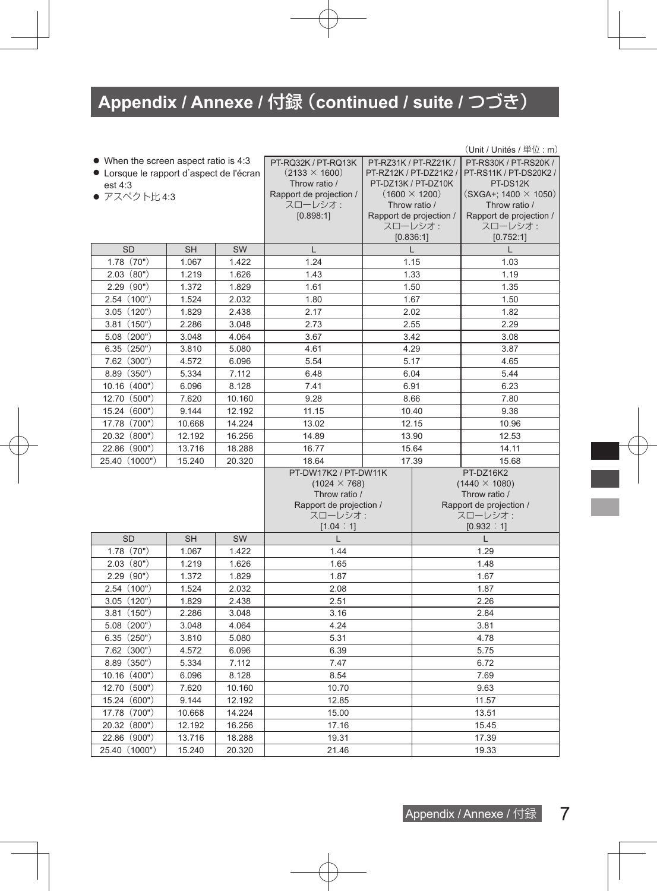|                                          |                  |        |                         |                        |                                          | $(Unit / Unit$ és / 単位: m)               |  |
|------------------------------------------|------------------|--------|-------------------------|------------------------|------------------------------------------|------------------------------------------|--|
| • When the screen aspect ratio is 4:3    |                  |        | PT-RQ32K / PT-RQ13K     | PT-RZ31K / PT-RZ21K /  |                                          | PT-RS30K / PT-RS20K /                    |  |
| • Lorsque le rapport d'aspect de l'écran |                  |        | $(2133 \times 1600)$    | PT-RZ12K / PT-DZ21K2 / |                                          | PT-RS11K / PT-DS20K2 /                   |  |
| est 4:3                                  |                  |        | Throw ratio /           |                        | PT-DZ13K / PT-DZ10K                      | PT-DS12K                                 |  |
| ● アスペクト比 4:3                             |                  |        | Rapport de projection / |                        | $(1600 \times 1200)$                     | $(SXGA+; 1400 \times 1050)$              |  |
|                                          |                  |        | スローレシオ:<br>[0.898:1]    |                        | Throw ratio /<br>Rapport de projection / | Throw ratio /<br>Rapport de projection / |  |
|                                          |                  |        |                         |                        | スローレシオ:                                  | スローレシオ:                                  |  |
|                                          |                  |        |                         |                        | [0.836:1]                                | [0.752:1]                                |  |
| <b>SD</b>                                | <b>SH</b>        | SW     | $\mathsf{L}$            |                        | L                                        | $\mathbf{L}$                             |  |
| 1.78(70")                                | 1.067            | 1.422  | 1.24<br>1.15            |                        |                                          | 1.03                                     |  |
| 2.03(80")                                | 1.219            | 1.626  | 1.43                    |                        | 1.33                                     | 1.19                                     |  |
| 2.29(90")                                | 1.372            | 1.829  | 1.61                    |                        | 1.50                                     | 1.35                                     |  |
| 2.54(100")                               | 1.524            | 2.032  | 1.80                    |                        | 1.67                                     | 1.50                                     |  |
| 3.05(120")                               | 1.829            | 2.438  | 2.17                    |                        | 2.02                                     | 1.82                                     |  |
| 3.81(150")                               | 2.286            | 3.048  | 2.73                    |                        | 2.55                                     | 2.29                                     |  |
| $5.08$ $(200")$                          | 3.048            | 4.064  | 3.67                    |                        | 3.42                                     | 3.08                                     |  |
| 6.35(250")                               | 3.810            | 5.080  | 4.61                    |                        | 4.29                                     | 3.87                                     |  |
| $7.62$ (300")                            | 4.572            | 6.096  | 5.54                    | 5.17                   |                                          | 4.65                                     |  |
| $8.89$ $(350")$                          | 5.334            | 7.112  | 6.48                    |                        | 6.04                                     | 5.44                                     |  |
| 10.16 (400")                             | 6.096            | 8.128  | 7.41<br>6.91            |                        | 6.23                                     |                                          |  |
| 12.70 (500")                             | 7.620            | 10.160 | 9.28<br>8.66            |                        | 7.80                                     |                                          |  |
| 15.24 (600")                             | 9.144            | 12.192 | 11.15<br>10.40          |                        | 9.38                                     |                                          |  |
| 17.78 (700")                             | 10.668           | 14.224 | 13.02<br>12.15          |                        |                                          | 10.96                                    |  |
| 20.32 (800")                             | 12.192           | 16.256 | 14.89<br>13.90          |                        |                                          | 12.53                                    |  |
| 22.86 (900")                             | 13.716           | 18.288 | 16.77                   |                        | 15.64                                    | 14.11                                    |  |
| 25.40 (1000")                            | 15.240           | 20.320 | 18.64                   |                        | 17.39                                    | 15.68                                    |  |
|                                          |                  |        | PT-DW17K2 / PT-DW11K    |                        |                                          | PT-DZ16K2                                |  |
|                                          |                  |        | $(1024 \times 768)$     |                        |                                          | $(1440 \times 1080)$                     |  |
|                                          |                  |        | Throw ratio /           |                        |                                          | Throw ratio /                            |  |
|                                          |                  |        | Rapport de projection / |                        |                                          | Rapport de projection /                  |  |
|                                          |                  |        | スローレシオ:<br>[1.04:1]     |                        |                                          | スローレシオ:<br>[0.932 : 1]                   |  |
| <b>SD</b>                                | <b>SH</b>        | SW     | $\mathsf{L}$            |                        |                                          | $\mathsf{L}$                             |  |
| 1.78(70")                                | 1.067            | 1.422  | 1.44                    |                        |                                          | 1.29                                     |  |
| 2.03(80")                                | 1.219            | 1.626  | 1.65                    |                        |                                          | 1.48                                     |  |
| 2.29(90")                                | 1.372            | 1.829  | 1.87                    |                        |                                          | 1.67                                     |  |
| 2.54(100")                               | 1.524            | 2.032  | 2.08                    |                        |                                          | 1.87                                     |  |
| 3.05(120")                               | 1.829            | 2.438  | 2.51                    |                        |                                          | 2.26                                     |  |
| 3.81(150")                               | 2.286            | 3.048  | 3.16                    |                        |                                          | 2.84                                     |  |
| 5.08(200")                               | 3.048            | 4.064  | 4.24                    |                        |                                          | 3.81                                     |  |
| 6.35(250")                               | 3.810            | 5.080  | 5.31                    |                        |                                          | 4.78                                     |  |
| $7.62$ (300")                            | 4.572            | 6.096  | 6.39                    |                        |                                          | 5.75                                     |  |
| $8.89$ $(350")$                          | 5.334            | 7.112  | 7.47                    |                        |                                          | 6.72                                     |  |
| 10.16 (400")                             | 6.096            | 8.128  | 8.54                    |                        |                                          | 7.69                                     |  |
| 12.70 (500")                             | 7.620            | 10.160 | 10.70                   |                        |                                          | 9.63                                     |  |
| 15.24 (600")                             | 9.144            | 12.192 | 12.85                   |                        |                                          | 11.57                                    |  |
| 17.78 (700")                             | 10.668           | 14.224 | 15.00                   |                        |                                          | 13.51                                    |  |
| 20.32 (800")                             | 12.192<br>16.256 |        | 17.16                   |                        | 15.45                                    |                                          |  |
| 22.86 (900")                             | 13.716           | 18.288 | 19.31                   |                        | 17.39                                    |                                          |  |
| 25.40 (1000")                            | 15.240           | 20.320 | 21.46                   |                        |                                          | 19.33                                    |  |

ī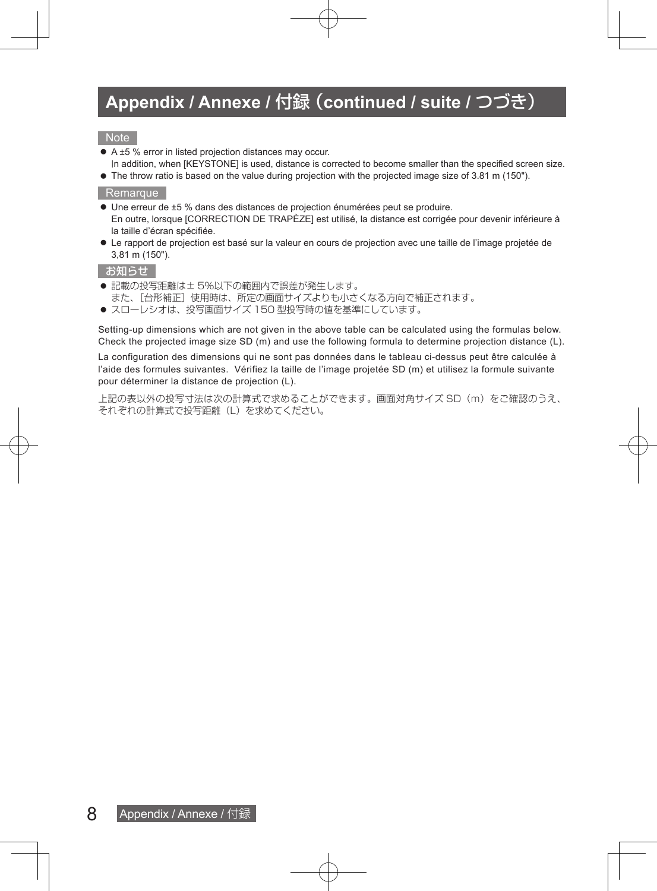#### **Note**

- A ±5 % error in listed projection distances may occur.
- In addition, when [KEYSTONE] is used, distance is corrected to become smaller than the specified screen size.  $\bullet$  The throw ratio is based on the value during projection with the projected image size of 3.81 m (150").
- Remarque
- Une erreur de ±5 % dans des distances de projection énumérées peut se produire. En outre, lorsque [CORRECTION DE TRAPÈZE] est utilisé, la distance est corrigée pour devenir inférieure à la taille d'écran spécifiée.
- $\bullet$  Le rapport de projection est basé sur la valeur en cours de projection avec une taille de l'image projetée de 3,81 m (150").

#### お知らせ

- 記載の投写距離は± 5%以下の範囲内で誤差が発生します。
	- また、[台形補正]使用時は、所定の画面サイズよりも小さくなる方向で補正されます。
- スローレシオは、投写画面サイズ 150 型投写時の値を基準にしています。

Setting-up dimensions which are not given in the above table can be calculated using the formulas below. Check the projected image size SD (m) and use the following formula to determine projection distance (L).

La configuration des dimensions qui ne sont pas données dans le tableau ci-dessus peut être calculée à l'aide des formules suivantes. Vérifiez la taille de l'image projetée SD (m) et utilisez la formule suivante pour déterminer la distance de projection (L).

上記の表以外の投写寸法は次の計算式で求めることができます。画面対角サイズ SD(m)をご確認のうえ、 それぞれの計算式で投写距離(L)を求めてください。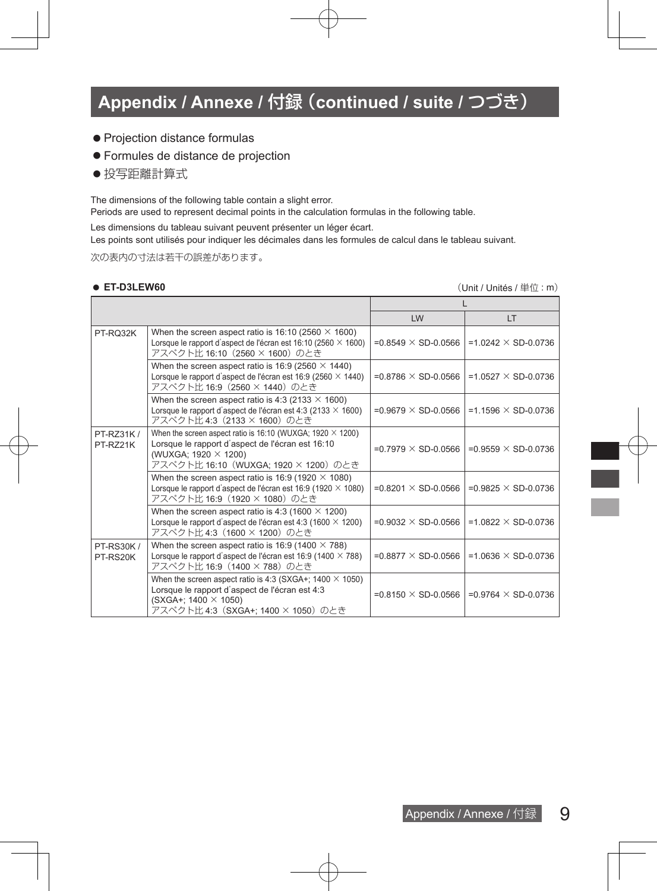- $\bullet$  Projection distance formulas
- **Formules de distance de projection**
- 投写距離計算式

The dimensions of the following table contain a slight error.

Periods are used to represent decimal points in the calculation formulas in the following table.

Les dimensions du tableau suivant peuvent présenter un léger écart.

Les points sont utilisés pour indiquer les décimales dans les formules de calcul dans le tableau suivant.

次の表内の寸法は若干の誤差があります。

● ET-D3LEW60 **Contract and the example of the example of the example of the example of the example of the example of the example of the example of the example of the example of the example of the example of the example o** 

|                              |                                                                                                                                                                                        | LW                            | LT.                                                         |
|------------------------------|----------------------------------------------------------------------------------------------------------------------------------------------------------------------------------------|-------------------------------|-------------------------------------------------------------|
| PT-RO32K                     | When the screen aspect ratio is 16:10 (2560 $\times$ 1600)<br>Lorsque le rapport d'aspect de l'écran est 16:10 (2560 $\times$ 1600)<br>アスペクト比 16:10 (2560 × 1600) のとき                  |                               | $= 0.8549 \times SD - 0.0566$   = 1.0242 $\times$ SD-0.0736 |
|                              | When the screen aspect ratio is 16:9 (2560 $\times$ 1440)<br>Lorsque le rapport d'aspect de l'écran est 16:9 (2560 $\times$ 1440)<br>アスペクト比 16:9 (2560 × 1440) のとき                     | $= 0.8786 \times SD - 0.0566$ | $=1.0527 \times SD-0.0736$                                  |
|                              | When the screen aspect ratio is 4:3 (2133 $\times$ 1600)<br>Lorsque le rapport d'aspect de l'écran est 4:3 (2133 $\times$ 1600)<br>アスペクト比 4:3 (2133 × 1600) のとき                        | $= 0.9679 \times SD - 0.0566$ | $=1.1596 \times SD-0.0736$                                  |
| PT-RZ31K /<br>PT-RZ21K       | When the screen aspect ratio is 16:10 (WUXGA; 1920 $\times$ 1200)<br>Lorsque le rapport d'aspect de l'écran est 16:10<br>(WUXGA; 1920 × 1200)<br>アスペクト比 16:10 (WUXGA; 1920 × 1200) のとき | $= 0.7979 \times SD - 0.0566$ | $= 0.9559 \times SD - 0.0736$                               |
|                              | When the screen aspect ratio is 16:9 (1920 $\times$ 1080)<br>Lorsque le rapport d'aspect de l'écran est 16:9 (1920 $\times$ 1080)<br>アスペクト比 16:9 (1920 × 1080) のとき                     | =0.8201 $\times$ SD-0.0566    | $=0.9825 \times SD-0.0736$                                  |
|                              | When the screen aspect ratio is 4:3 (1600 $\times$ 1200)<br>Lorsque le rapport d'aspect de l'écran est 4:3 (1600 $\times$ 1200)<br>アスペクト比 4:3 (1600 × 1200) のとき                        | $= 0.9032 \times SD - 0.0566$ | $=1.0822 \times SD-0.0736$                                  |
| <b>PT-RS30K/</b><br>PT-RS20K | When the screen aspect ratio is 16:9 (1400 $\times$ 788)<br>Lorsque le rapport d'aspect de l'écran est 16:9 (1400 $\times$ 788)<br>アスペクト比 16:9 (1400 × 788) のとき                        | $=0.8877 \times SD-0.0566$    | $=1.0636 \times SD-0.0736$                                  |
|                              | When the screen aspect ratio is 4:3 (SXGA+; 1400 $\times$ 1050)<br>Lorsque le rapport d'aspect de l'écran est 4:3<br>(SXGA+; 1400 × 1050)<br>アスペクト比 4:3 (SXGA+; 1400 × 1050) のとき       | $= 0.8150 \times SD - 0.0566$ | $= 0.9764 \times SD - 0.0736$                               |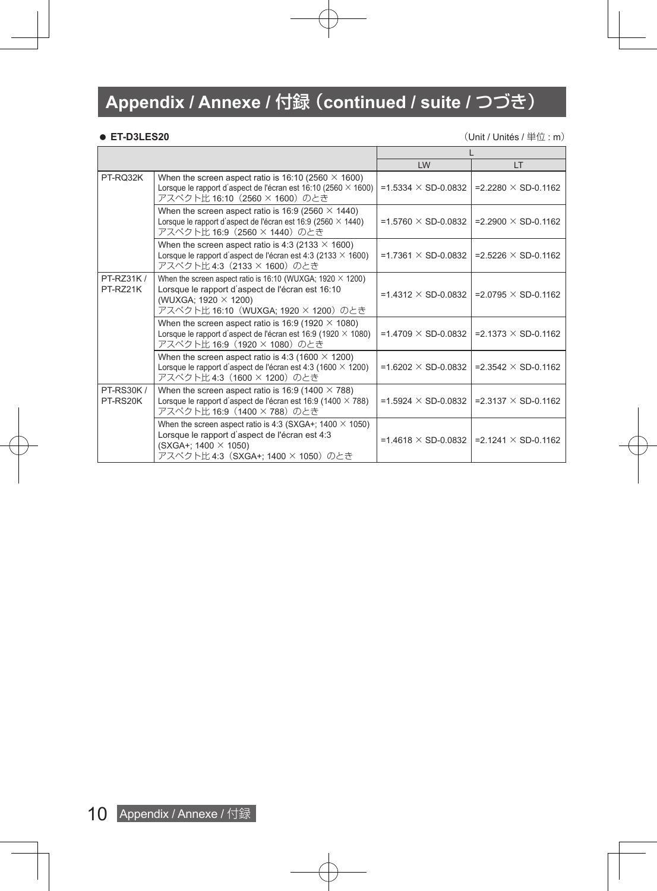z **ET-D3LES20** (Unit / Unités / 単位 : m)

|                              |                                                                                                                                                                                        | LW                         | LT.                           |
|------------------------------|----------------------------------------------------------------------------------------------------------------------------------------------------------------------------------------|----------------------------|-------------------------------|
| PT-RQ32K                     | When the screen aspect ratio is 16:10 (2560 $\times$ 1600)<br>Lorsque le rapport d'aspect de l'écran est 16:10 (2560 $\times$ 1600)<br>アスペクト比 16:10 (2560 × 1600) のとき                  | $=1.5334 \times SD-0.0832$ | $= 2.2280 \times SD - 0.1162$ |
|                              | When the screen aspect ratio is 16:9 (2560 $\times$ 1440)<br>Lorsque le rapport d'aspect de l'écran est 16:9 (2560 $\times$ 1440)<br>アスペクト比 16:9 (2560 × 1440) のとき                     | $=1.5760 \times SD-0.0832$ | $= 2.2900 \times SD - 0.1162$ |
|                              | When the screen aspect ratio is 4:3 (2133 $\times$ 1600)<br>Lorsque le rapport d'aspect de l'écran est 4:3 (2133 $\times$ 1600)<br>アスペクト比 4:3 (2133 × 1600) のとき                        | $=1.7361 \times SD-0.0832$ | $= 2.5226 \times SD - 0.1162$ |
| PT-RZ31K /<br>PT-RZ21K       | When the screen aspect ratio is 16:10 (WUXGA; 1920 $\times$ 1200)<br>Lorsque le rapport d'aspect de l'écran est 16:10<br>(WUXGA; 1920 × 1200)<br>アスペクト比 16:10 (WUXGA; 1920 × 1200) のとき | $=1.4312 \times SD-0.0832$ | $= 2.0795 \times SD - 0.1162$ |
|                              | When the screen aspect ratio is 16:9 (1920 $\times$ 1080)<br>Lorsque le rapport d'aspect de l'écran est 16:9 (1920 $\times$ 1080)<br>アスペクト比 16:9 (1920 × 1080) のとき                     | $=1.4709 \times SD-0.0832$ | $= 2.1373 \times SD - 0.1162$ |
|                              | When the screen aspect ratio is 4:3 (1600 $\times$ 1200)<br>Lorsque le rapport d'aspect de l'écran est 4:3 (1600 $\times$ 1200)<br>アスペクト比 4:3 (1600 × 1200) のとき                        | $=1.6202 \times SD-0.0832$ | $= 2.3542 \times SD - 0.1162$ |
| <b>PT-RS30K/</b><br>PT-RS20K | When the screen aspect ratio is 16:9 (1400 $\times$ 788)<br>Lorsque le rapport d'aspect de l'écran est 16:9 (1400 $\times$ 788)<br>アスペクト比 16:9 (1400 × 788) のとき                        | =1.5924 $\times$ SD-0.0832 | $= 2.3137 \times SD - 0.1162$ |
|                              | When the screen aspect ratio is 4:3 (SXGA+; $1400 \times 1050$ )<br>Lorsque le rapport d'aspect de l'écran est 4:3<br>(SXGA+; 1400 × 1050)<br>アスペクト比 4:3 (SXGA+; 1400 × 1050) のとき      | $=1.4618 \times SD-0.0832$ | $= 2.1241 \times SD - 0.1162$ |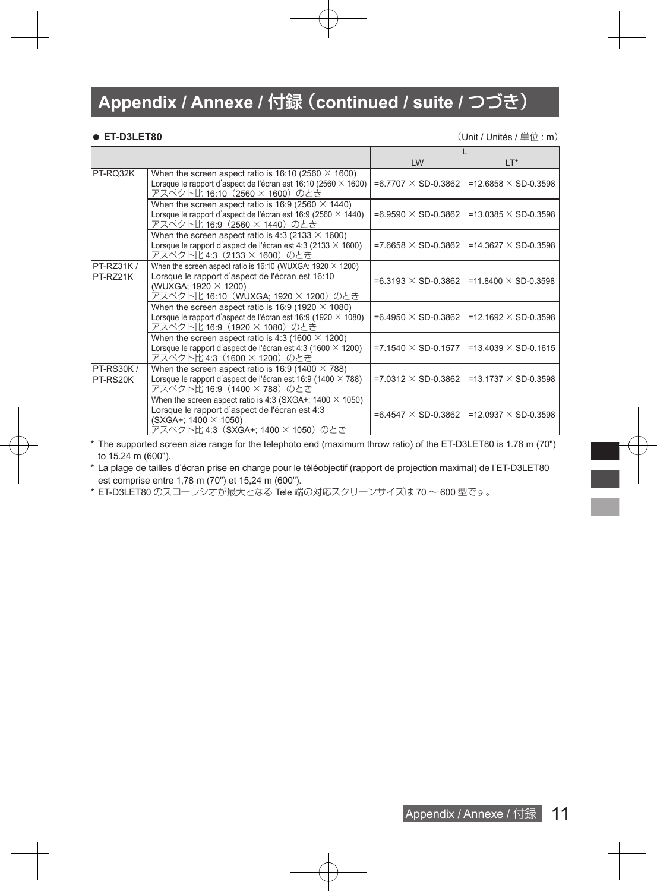● ET-D3LET80 **CONSERVERGENER ET-D3LET80** (Unit / Unités / 単位 : m)

ī

|                              |                                                                                                                                                                                        | LW                            | LT*                         |
|------------------------------|----------------------------------------------------------------------------------------------------------------------------------------------------------------------------------------|-------------------------------|-----------------------------|
| PT-RQ32K                     | When the screen aspect ratio is 16:10 (2560 $\times$ 1600)<br>Lorsque le rapport d'aspect de l'écran est 16:10 (2560 $\times$ 1600)<br>アスペクト比 16:10 (2560 × 1600) のとき                  | $= 6.7707 \times SD - 0.3862$ | $=12.6858 \times SD-0.3598$ |
|                              | When the screen aspect ratio is 16:9 (2560 $\times$ 1440)<br>Lorsque le rapport d'aspect de l'écran est 16:9 (2560 $\times$ 1440)<br>アスペクト比 16:9 (2560 × 1440) のとき                     | $=6.9590 \times SD-0.3862$    | $=13.0385 \times SD-0.3598$ |
|                              | When the screen aspect ratio is 4:3 (2133 $\times$ 1600)<br>Lorsque le rapport d'aspect de l'écran est 4:3 (2133 $\times$ 1600)<br>アスペクト比 4:3 (2133 × 1600) のとき                        | $= 7.6658 \times SD - 0.3862$ | =14.3627 $\times$ SD-0.3598 |
| PT-RZ31K /<br>PT-RZ21K       | When the screen aspect ratio is 16:10 (WUXGA; 1920 $\times$ 1200)<br>Lorsque le rapport d'aspect de l'écran est 16:10<br>(WUXGA; 1920 × 1200)<br>アスペクト比 16:10 (WUXGA; 1920 × 1200) のとき | $= 6.3193 \times SD - 0.3862$ | $=11.8400 \times SD-0.3598$ |
|                              | When the screen aspect ratio is 16:9 (1920 $\times$ 1080)<br>Lorsque le rapport d'aspect de l'écran est 16:9 (1920 $\times$ 1080)<br>アスペクト比 16:9 (1920 × 1080) のとき                     | =6.4950 $\times$ SD-0.3862    | $=12.1692 \times SD-0.3598$ |
|                              | When the screen aspect ratio is 4:3 (1600 $\times$ 1200)<br>Lorsque le rapport d'aspect de l'écran est 4:3 (1600 $\times$ 1200)<br>アスペクト比 4:3 (1600 × 1200) のとき                        | $=7.1540 \times SD-0.1577$    | =13.4039 $\times$ SD-0.1615 |
| <b>PT-RS30K/</b><br>PT-RS20K | When the screen aspect ratio is 16:9 (1400 $\times$ 788)<br>Lorsque le rapport d'aspect de l'écran est 16:9 (1400 $\times$ 788)<br>アスペクト比 16:9 (1400 × 788) のとき                        | $=7.0312 \times SD-0.3862$    | $=13.1737 \times SD-0.3598$ |
|                              | When the screen aspect ratio is 4:3 (SXGA+; $1400 \times 1050$ )<br>Lorsque le rapport d'aspect de l'écran est 4:3<br>$(SXGA+; 1400 \times 1050)$<br>アスペクト比 4:3(SXGA+; 1400 × 1050)のとき | $= 6.4547 \times SD - 0.3862$ | $=12.0937 \times SD-0.3598$ |

\* The supported screen size range for the telephoto end (maximum throw ratio) of the ET-D3LET80 is 1.78 m (70") to 15.24 m (600").

\* La plage de tailles d'écran prise en charge pour le téléobjectif (rapport de projection maximal) de l'ET-D3LET80 est comprise entre 1,78 m (70") et 15,24 m (600").

\* ET-D3LET80 のスローレシオが最大となる Tele 端の対応スクリーンサイズは 70 ~ 600 型です。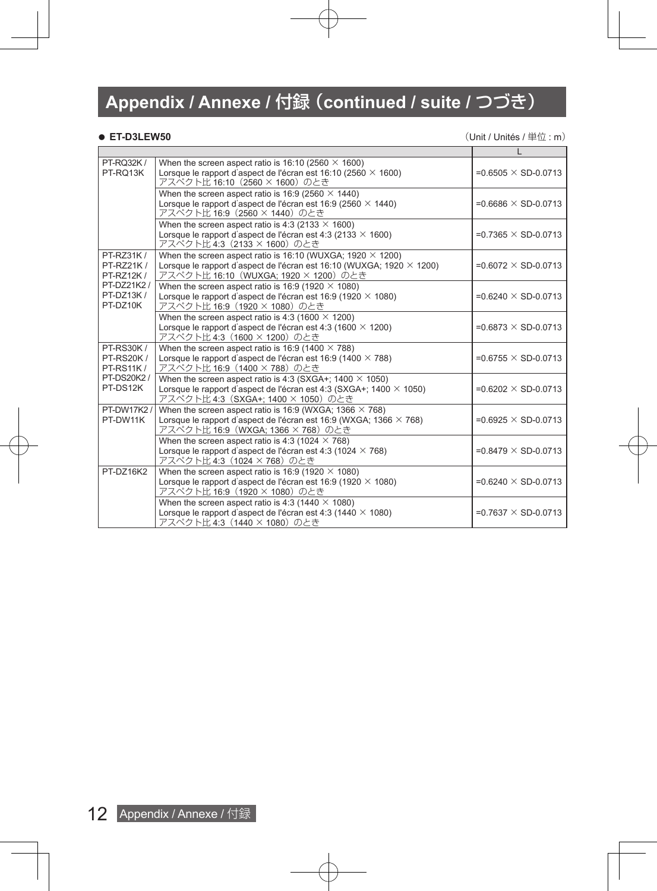● ET-D3LEW50 **CONSUMENT ACCOUNT ACCOUNT ACCOUNT ACCOUNT ACCOUNT ACCOUNT ACCOUNT ACCOUNT ACCOUNT ACCOUNT ACCOUNT** 

| PT-RQ32K /<br>PT-RQ13K                                                              | When the screen aspect ratio is 16:10 (2560 $\times$ 1600)<br>Lorsque le rapport d'aspect de l'écran est 16:10 (2560 $\times$ 1600)<br>アスペクト比 16:10 (2560 × 1600) のとき                      | $=0.6505 \times SD-0.0713$    |
|-------------------------------------------------------------------------------------|--------------------------------------------------------------------------------------------------------------------------------------------------------------------------------------------|-------------------------------|
|                                                                                     | When the screen aspect ratio is 16:9 (2560 $\times$ 1440)<br>Lorsque le rapport d'aspect de l'écran est 16:9 (2560 $\times$ 1440)<br>アスペクト比 16:9 (2560 × 1440) のとき                         | $=0.6686 \times SD-0.0713$    |
|                                                                                     | When the screen aspect ratio is 4:3 (2133 $\times$ 1600)<br>Lorsque le rapport d'aspect de l'écran est 4:3 (2133 $\times$ 1600)<br>アスペクト比 4:3 (2133 × 1600) のとき                            | $=0.7365 \times SD-0.0713$    |
| PT-RZ31K /<br>PT-RZ21K /<br><b>PT-RZ12K/</b><br>PT-DZ21K2/<br>PT-DZ13K/<br>PT-DZ10K | When the screen aspect ratio is 16:10 (WUXGA; 1920 $\times$ 1200)<br>Lorsque le rapport d'aspect de l'écran est 16:10 (WUXGA; 1920 $\times$ 1200)<br>アスペクト比 16:10 (WUXGA; 1920 × 1200) のとき | $=0.6072 \times SD-0.0713$    |
|                                                                                     | When the screen aspect ratio is 16:9 (1920 $\times$ 1080)<br>Lorsque le rapport d'aspect de l'écran est 16:9 (1920 $\times$ 1080)<br>アスペクト比 16:9 (1920 × 1080) のとき                         | $=0.6240 \times SD-0.0713$    |
|                                                                                     | When the screen aspect ratio is 4:3 (1600 $\times$ 1200)<br>Lorsque le rapport d'aspect de l'écran est 4:3 (1600 $\times$ 1200)<br>アスペクト比 4:3 (1600 × 1200) のとき                            | $=0.6873 \times SD-0.0713$    |
| <b>PT-RS30K/</b><br><b>PT-RS20K/</b><br><b>PT-RS11K/</b><br>PT-DS20K2 /<br>PT-DS12K | When the screen aspect ratio is 16:9 ( $\overline{1400 \times 788}$ )<br>Lorsque le rapport d'aspect de l'écran est 16:9 (1400 $\times$ 788)<br>アスペクト比 16:9 (1400 × 788) のとき               | $=0.6755 \times SD-0.0713$    |
|                                                                                     | When the screen aspect ratio is 4:3 (SXGA+; 1400 $\times$ 1050)<br>Lorsque le rapport d'aspect de l'écran est 4:3 (SXGA+; 1400 $\times$ 1050)<br>アスペクト比 4:3 (SXGA+; 1400 × 1050) のとき       | $=0.6202 \times SD-0.0713$    |
| <b>PT-DW17K2/</b><br>PT-DW11K                                                       | When the screen aspect ratio is 16:9 (WXGA, 1366 $\times$ 768)<br>Lorsque le rapport d'aspect de l'écran est 16:9 (WXGA; 1366 $\times$ 768)<br>アスペクト比 16:9 (WXGA; 1366 × 768) のとき          | $=0.6925 \times SD-0.0713$    |
|                                                                                     | When the screen aspect ratio is 4:3 (1024 $\times$ 768)<br>Lorsque le rapport d'aspect de l'écran est 4:3 (1024 $\times$ 768)<br>アスペクト比 4:3 (1024 × 768) のとき                               | $=0.8479 \times SD-0.0713$    |
| PT-DZ16K2                                                                           | When the screen aspect ratio is 16:9 (1920 $\times$ 1080)<br>Lorsque le rapport d'aspect de l'écran est 16:9 (1920 $\times$ 1080)<br>アスペクト比 16:9 (1920 × 1080) のとき                         | $=0.6240 \times SD-0.0713$    |
|                                                                                     | When the screen aspect ratio is 4:3 (1440 $\times$ 1080)<br>Lorsque le rapport d'aspect de l'écran est 4:3 (1440 $\times$ 1080)<br>アスペクト比 4:3 (1440 × 1080) のとき                            | $= 0.7637 \times SD - 0.0713$ |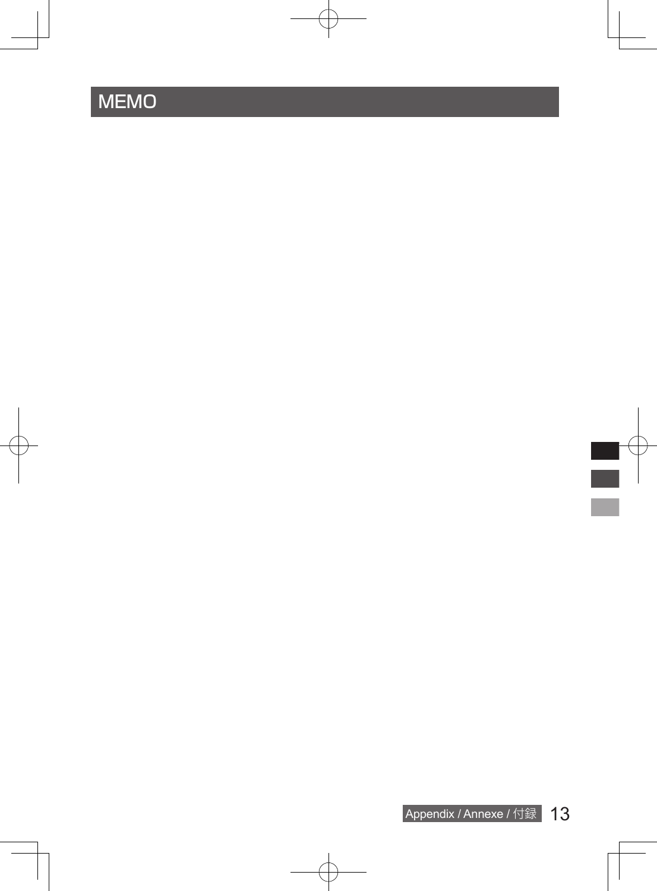# MEMO

į